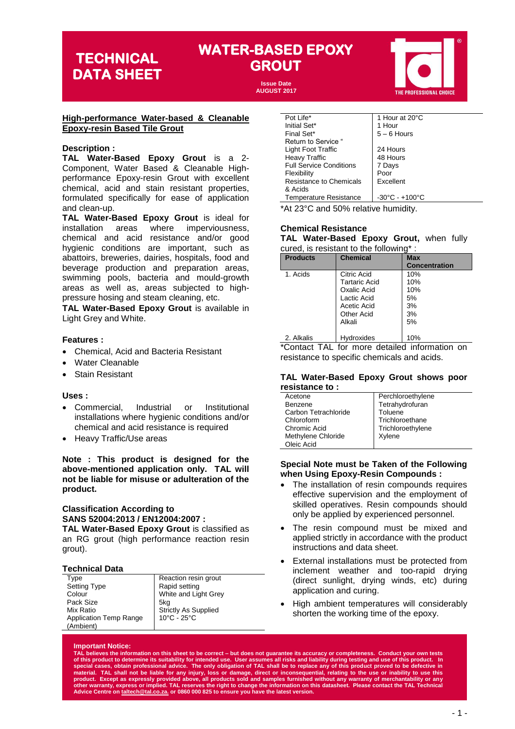### **WATER-BASED EPOXY GROUT TECHNICAL**

**Issue Date AUGUST 2017**

#### **High-performance Water-based & Cleanable Epoxy-resin Based Tile Grout**

#### **Description :**

**TAL Water-Based Epoxy Grout** is a 2- Component, Water Based & Cleanable Highperformance Epoxy-resin Grout with excellent chemical, acid and stain resistant properties, formulated specifically for ease of application and clean-up.

**TAL Water-Based Epoxy Grout** is ideal for installation areas where imperviousness, chemical and acid resistance and/or good hygienic conditions are important, such as abattoirs, breweries, dairies, hospitals, food and beverage production and preparation areas, swimming pools, bacteria and mould-growth areas as well as, areas subjected to highpressure hosing and steam cleaning, etc.

**TAL Water-Based Epoxy Grout** is available in Light Grey and White.

#### **Features :**

- Chemical, Acid and Bacteria Resistant
- Water Cleanable
- **Stain Resistant**

#### **Uses :**

- Commercial, Industrial or Institutional installations where hygienic conditions and/or chemical and acid resistance is required
- Heavy Traffic/Use areas

**Note : This product is designed for the above-mentioned application only. TAL will not be liable for misuse or adulteration of the product.** 

#### **Classification According to SANS 52004:2013 / EN12004:2007 : TAL Water-Based Epoxy Grout** is classified as

an RG grout (high performance reaction resin grout).

#### **Technical Data**

| Type                          | Reaction resin grout        |
|-------------------------------|-----------------------------|
| <b>Setting Type</b>           | Rapid setting               |
| Colour                        | White and Light Grey        |
| Pack Size                     | 5ka                         |
| Mix Ratio                     | <b>Strictly As Supplied</b> |
| <b>Application Temp Range</b> | 10°C - 25°C                 |
| (Ambient)                     |                             |

| Pot Life*                      | 1 Hour at 20°C                     |
|--------------------------------|------------------------------------|
| Initial Set*                   | 1 Hour                             |
| Final Set*                     | $5 - 6$ Hours                      |
| Return to Service "            |                                    |
| Light Foot Traffic             | 24 Hours                           |
| <b>Heavy Traffic</b>           | 48 Hours                           |
| <b>Full Service Conditions</b> | 7 Days                             |
| Flexibility                    | Poor                               |
| Resistance to Chemicals        | Excellent                          |
| & Acids                        |                                    |
| <b>Temperature Resistance</b>  | $-30^{\circ}$ C - $+100^{\circ}$ C |

\*At 23°C and 50% relative humidity.

### **Chemical Resistance**

**TAL Water-Based Epoxy Grout,** when fully cured, is resistant to the following\* :

| <b>Products</b> | <b>Chemical</b>                                                                                                 | <b>Max</b><br><b>Concentration</b>        |
|-----------------|-----------------------------------------------------------------------------------------------------------------|-------------------------------------------|
| 1. Acids        | Citric Acid<br><b>Tartaric Acid</b><br>Oxalic Acid<br>Lactic Acid<br>Acetic Acid<br><b>Other Acid</b><br>Alkali | 10%<br>10%<br>10%<br>5%<br>3%<br>3%<br>5% |
| 2. Alkalis      | Hydroxides                                                                                                      | 10%                                       |

\*Contact TAL for more detailed information on resistance to specific chemicals and acids.

#### **TAL Water-Based Epoxy Grout shows poor resistance to :**

| Acetone              | Perchloroethylene |
|----------------------|-------------------|
| Benzene              | Tetrahydrofuran   |
| Carbon Tetrachloride | Toluene           |
| Chloroform           | Trichloroethane   |
| Chromic Acid         | Trichloroethylene |
| Methylene Chloride   | Xylene            |
| Oleic Acid           |                   |
|                      |                   |

#### **Special Note must be Taken of the Following when Using Epoxy-Resin Compounds :**

- The installation of resin compounds requires effective supervision and the employment of skilled operatives. Resin compounds should only be applied by experienced personnel.
- The resin compound must be mixed and applied strictly in accordance with the product instructions and data sheet.
- External installations must be protected from inclement weather and too-rapid drying (direct sunlight, drying winds, etc) during application and curing.
- High ambient temperatures will considerably shorten the working time of the epoxy.

#### **Important Notice:**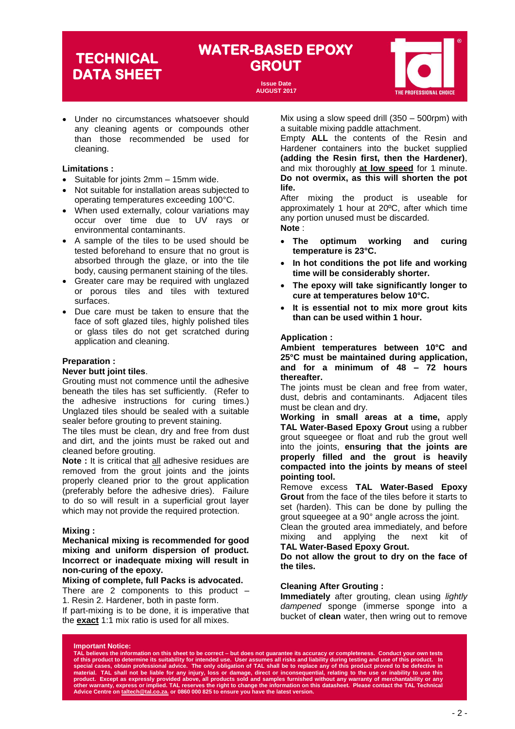### **WATER-BASED EPOXY GROUT TECHNICAL**

**Issue Date AUGUST 2017**



• Under no circumstances whatsoever should any cleaning agents or compounds other than those recommended be used for cleaning.

#### **Limitations :**

- Suitable for joints 2mm 15mm wide.
- Not suitable for installation areas subjected to operating temperatures exceeding 100°C.
- When used externally, colour variations may occur over time due to UV rays or environmental contaminants.
- A sample of the tiles to be used should be tested beforehand to ensure that no grout is absorbed through the glaze, or into the tile body, causing permanent staining of the tiles.
- Greater care may be required with unglazed or porous tiles and tiles with textured surfaces.
- Due care must be taken to ensure that the face of soft glazed tiles, highly polished tiles or glass tiles do not get scratched during application and cleaning.

#### **Preparation :**

#### **Never butt joint tiles**.

Grouting must not commence until the adhesive beneath the tiles has set sufficiently. (Refer to the adhesive instructions for curing times.) Unglazed tiles should be sealed with a suitable sealer before grouting to prevent staining.

The tiles must be clean, dry and free from dust and dirt, and the joints must be raked out and cleaned before grouting.

**Note :** It is critical that all adhesive residues are removed from the grout joints and the joints properly cleaned prior to the grout application (preferably before the adhesive dries). Failure to do so will result in a superficial grout layer which may not provide the required protection.

#### **Mixing :**

**Mechanical mixing is recommended for good mixing and uniform dispersion of product. Incorrect or inadequate mixing will result in non-curing of the epoxy.**

#### **Mixing of complete, full Packs is advocated.**

There are 2 components to this product – 1. Resin 2. Hardener, both in paste form. If part-mixing is to be done, it is imperative that

the **exact** 1:1 mix ratio is used for all mixes.

Mix using a slow speed drill (350 – 500rpm) with a suitable mixing paddle attachment.

Empty **ALL** the contents of the Resin and Hardener containers into the bucket supplied **(adding the Resin first, then the Hardener)**, and mix thoroughly **at low speed** for 1 minute. **Do not overmix, as this will shorten the pot life.**

After mixing the product is useable for approximately 1 hour at 20ºC, after which time any portion unused must be discarded. **Note** :

- **The optimum working and curing temperature is 23°C.**
- **In hot conditions the pot life and working time will be considerably shorter.**
- **The epoxy will take significantly longer to cure at temperatures below 10°C.**
- **It is essential not to mix more grout kits than can be used within 1 hour.**

#### **Application :**

**Ambient temperatures between 10°C and 25°C must be maintained during application, and for a minimum of 48 – 72 hours thereafter.**

The joints must be clean and free from water, dust, debris and contaminants. Adjacent tiles must be clean and dry.

**Working in small areas at a time,** apply **TAL Water-Based Epoxy Grout** using a rubber grout squeegee or float and rub the grout well into the joints, **ensuring that the joints are properly filled and the grout is heavily compacted into the joints by means of steel pointing tool.** 

Remove excess **TAL Water-Based Epoxy Grout** from the face of the tiles before it starts to set (harden). This can be done by pulling the grout squeegee at a 90° angle across the joint.

Clean the grouted area immediately, and before mixing and applying the next kit of **TAL Water-Based Epoxy Grout.** 

**Do not allow the grout to dry on the face of the tiles.**

#### **Cleaning After Grouting :**

**Immediately** after grouting, clean using *lightly dampened* sponge (immerse sponge into a bucket of **clean** water, then wring out to remove

#### **Important Notice:**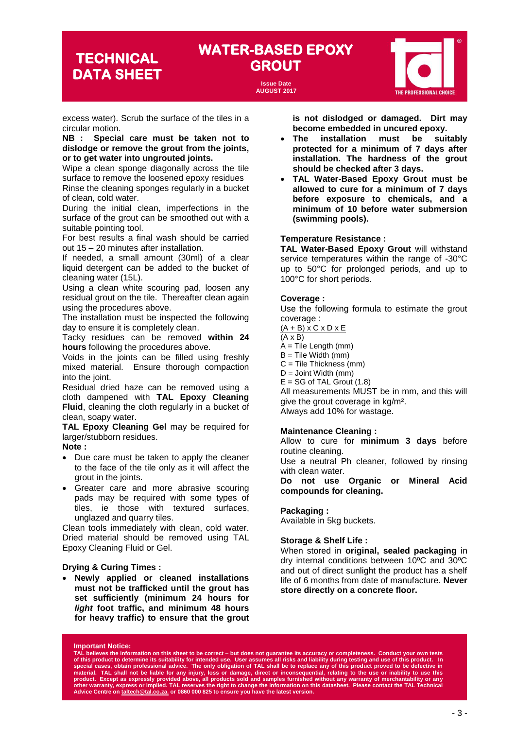## **WATER-BASED EPOXY GROUT TECHNICAL**

**Issue Date AUGUST 2017**



excess water). Scrub the surface of the tiles in a circular motion.

**NB : Special care must be taken not to dislodge or remove the grout from the joints, or to get water into ungrouted joints.**

Wipe a clean sponge diagonally across the tile surface to remove the loosened epoxy residues Rinse the cleaning sponges regularly in a bucket of clean, cold water.

During the initial clean, imperfections in the surface of the grout can be smoothed out with a suitable pointing tool.

For best results a final wash should be carried out 15 – 20 minutes after installation.

If needed, a small amount (30ml) of a clear liquid detergent can be added to the bucket of cleaning water (15L).

Using a clean white scouring pad, loosen any residual grout on the tile. Thereafter clean again using the procedures above.

The installation must be inspected the following day to ensure it is completely clean.

Tacky residues can be removed **within 24 hours** following the procedures above.

Voids in the joints can be filled using freshly mixed material. Ensure thorough compaction into the joint.

Residual dried haze can be removed using a cloth dampened with **TAL Epoxy Cleaning Fluid**, cleaning the cloth regularly in a bucket of clean, soapy water.

**TAL Epoxy Cleaning Gel** may be required for larger/stubborn residues.

**Note :**

- Due care must be taken to apply the cleaner to the face of the tile only as it will affect the grout in the joints.
- Greater care and more abrasive scouring pads may be required with some types of tiles, ie those with textured surfaces, unglazed and quarry tiles.

Clean tools immediately with clean, cold water. Dried material should be removed using TAL Epoxy Cleaning Fluid or Gel.

#### **Drying & Curing Times :**

• **Newly applied or cleaned installations must not be trafficked until the grout has set sufficiently (minimum 24 hours for**  *light* **foot traffic, and minimum 48 hours for heavy traffic) to ensure that the grout**  **is not dislodged or damaged. Dirt may become embedded in uncured epoxy.**

- **The installation must be suitably protected for a minimum of 7 days after installation. The hardness of the grout should be checked after 3 days.**
- **TAL Water-Based Epoxy Grout must be allowed to cure for a minimum of 7 days before exposure to chemicals, and a minimum of 10 before water submersion (swimming pools).**

#### **Temperature Resistance :**

**TAL Water-Based Epoxy Grout** will withstand service temperatures within the range of -30°C up to 50°C for prolonged periods, and up to 100°C for short periods.

#### **Coverage :**

Use the following formula to estimate the grout coverage :

 $(A + B) \times C \times D \times E$ 

- (A x B)
- $A =$  Tile Length (mm)
- $B =$  Tile Width (mm)
- C = Tile Thickness (mm) D = Joint Width (mm)
- $E = SG$  of TAL Grout  $(1.8)$

All measurements MUST be in mm, and this will give the grout coverage in kg/m². Always add 10% for wastage.

#### **Maintenance Cleaning :**

Allow to cure for **minimum 3 days** before routine cleaning.

Use a neutral Ph cleaner, followed by rinsing with clean water.

**Do not use Organic or Mineral Acid compounds for cleaning.**

#### **Packaging :**

Available in 5kg buckets.

#### **Storage & Shelf Life :**

When stored in **original, sealed packaging** in dry internal conditions between 10ºC and 30ºC and out of direct sunlight the product has a shelf life of 6 months from date of manufacture. **Never store directly on a concrete floor.**

#### **Important Notice:**